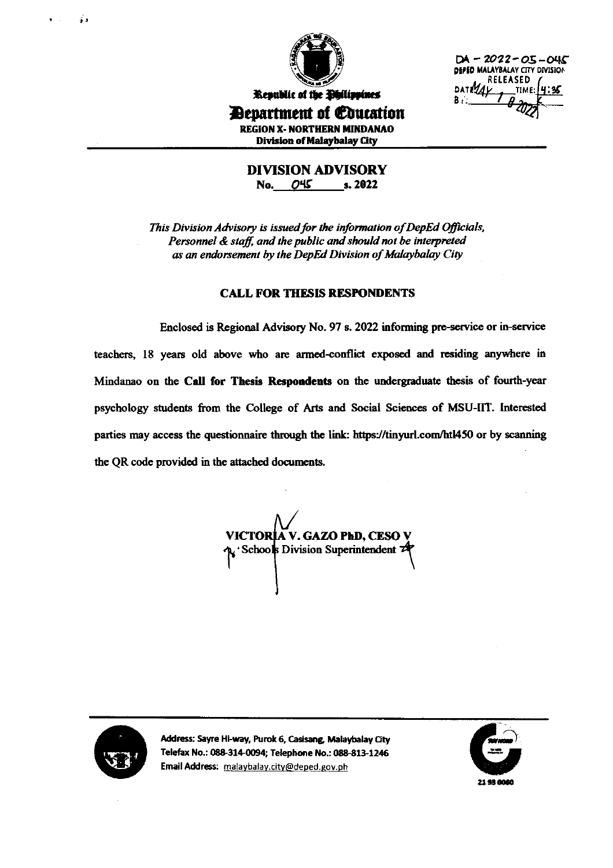

 $DA - 2022 - 05 - 045$ DEPED MALAYBALAY CITY DIVISION RELEASED DAT MAY  $B -$ 

**Department of Coucation** 

**REGION X- NORTHERN MINDANAO Division of Malaybalay City** 

**DIVISION ADVISORY** No. 045 s. 2022

This Division Advisory is issued for the information of DepEd Officials, Personnel & staff, and the public and should not be interpreted as an endorsement by the DepEd Division of Malaybalay City

## **CALL FOR THESIS RESPONDENTS**

Enclosed is Regional Advisory No. 97 s. 2022 informing pre-service or in-service teachers, 18 years old above who are armed-conflict exposed and residing anywhere in Mindanao on the Call for Thesis Respondents on the undergraduate thesis of fourth-year psychology students from the College of Arts and Social Sciences of MSU-IIT. Interested parties may access the questionnaire through the link: https://tinyurl.com/htl450 or by scanning the QR code provided in the attached documents.

VICTORIA V. GAZO PhD, CESO V R'Schools Division Superintendent



 $\ddot{\bullet}$ 

Address: Sayre Hi-way, Purok 6, Casisang, Malaybalay City Telefax No.: 088-314-0094; Telephone No.: 088-813-1246 Email Address: malaybalay.city@deped.gov.ph

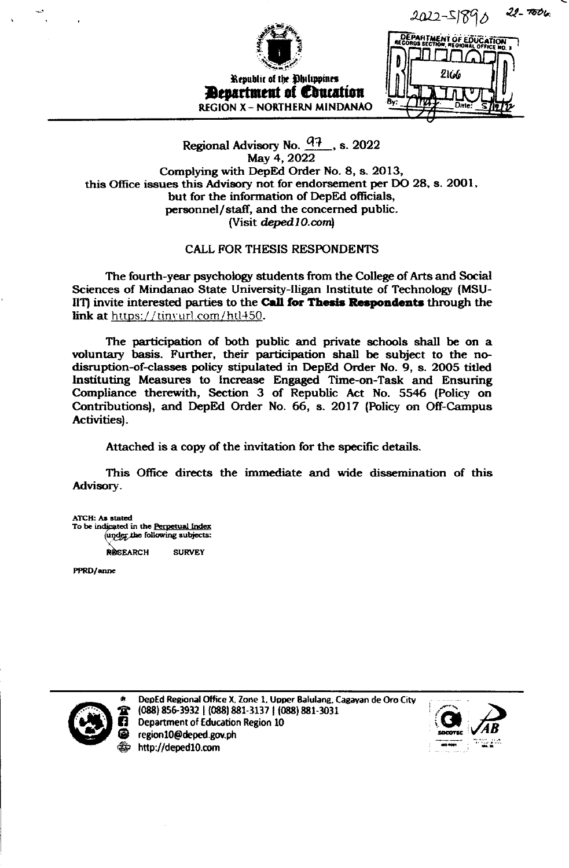$22 - 7006$ 2022-518



## Regional Advisory No.  $\frac{q_1 + q_2}{q_1}$ , s. 2022 May 4, 2022 Complying with DepEd Order No. 8, s. 2013, this Office issues this Advisory not for endorsement per DO 28, s. 2001, but for the information of DepEd officials, personnel/staff, and the concerned public. (Visit deped 10.com)

## **CALL FOR THESIS RESPONDENTS**

The fourth-year psychology students from the College of Arts and Social Sciences of Mindanao State University-Iligan Institute of Technology (MSU-IIT) invite interested parties to the Call for Thesis Respondents through the link at https://tinvurl.com/htl450.

The participation of both public and private schools shall be on a voluntary basis. Further, their participation shall be subject to the nodisruption-of-classes policy stipulated in DepEd Order No. 9, s. 2005 titled Instituting Measures to Increase Engaged Time-on-Task and Ensuring Compliance therewith, Section 3 of Republic Act No. 5546 (Policy on Contributions), and DepEd Order No. 66, s. 2017 (Policy on Off-Campus Activities).

Attached is a copy of the invitation for the specific details.

This Office directs the immediate and wide dissemination of this Advisory.

ATCH: As stated To be indicated in the Perpetual index under the following subjects:

> **SURVEY** RESEARCH

PPRD/anne



DepEd Regional Office X, Zone 1, Upper Balulang, Cagayan de Oro City (088) 856-3932 | (088) 881-3137 | (088) 881-3031 Department of Education Region 10 region10@deped.gov.ph http://deped10.com

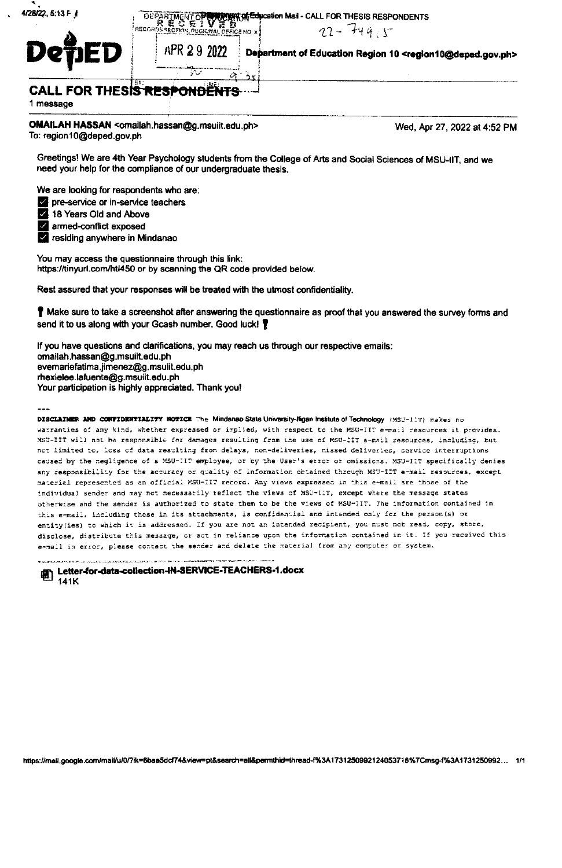| 13 F J | <b>THE ARTIMENT OPEN WERK ALE CALLACTED THES'</b> |  |
|--------|---------------------------------------------------|--|
|        | <b>BECGROS SECTION DECIONAL OFFICE NO. V.5</b>    |  |

.<br>ісе но мі

S RESPONDENTS  $22 - 7495$ 

Department of Education Region 10 <region10@deped.gov.ph>

APR 29 2022

**CALL FOR THESIS RESPONDE** 

1 message

4/28/22, 5:

OMAILAH HASSAN <omailah.hassan@g.msuiit.edu.ph> To: region10@deped.gov.ph

Wed, Apr 27, 2022 at 4:52 PM

Greetings! We are 4th Year Psychology students from the College of Arts and Social Sciences of MSU-IIT, and we need your help for the compliance of our undergraduate thesis.

We are looking for respondents who are:

- The-service or in-service teachers
- 18 Years Old and Above

armed-conflict exposed

v residing anywhere in Mindanao

You may access the questionnaire through this link: https://tinyurl.com/htl450 or by scanning the QR code provided below.

Rest assured that your responses will be treated with the utmost confidentiality.

If Make sure to take a screenshot after answering the questionnaire as proof that you answered the survey forms and send it to us along with your Gcash number. Good luck!

If you have questions and clarifications, you may reach us through our respective emails: omailah, hassan@g, msuiit, edu, ph evemariefatima.jimenez@g.msuiit.edu.ph rhexielee.lafuente@g.msuilt.edu.ph Your participation is highly appreciated. Thank you!

DISCLAIMER AND CONFIDENTIALITY NOTICE The Mindanao State University-ligan Institute of Technology (MSU-11T) makes no warranties of any kind, whether expressed or implied, with respect to the MSU-TIT e-mail resources it provides. MSU-IIT will not be responsible for damages resulting from the use of MSU-IIT e-mail resources, including, but not limited to, loss of data resulting from delays, non-deliveries, missed deliveries, service interruptions caused by the negligence of a MSU-IIT employee, or by the User's error or omissions. MSU-IIT specifically denies any responsibility for the accuracy or quality of information obtained through MSU-IIT e-mail resources, except material represented as an official MSU-IIT record. Any views expressed in this e-mail are those of the individual sender and may not necessarily reflect the views of MSU-IIT, except where the message states otherwise and the sender is authorized to state them to be the views of MSU-IIT. The information contained in this e-mail, including those in its attachments, is confidential and intended only for the person(s) or entity (ies) to which it is addressed. If you are not an intended recipient, you must not read, copy, store, disclose, distribute this message, or act in reliance upon the information contained in it. If you received this e-mail in error, please contact the sender and delete the material from any computer or system.

Letter-for-data-collection-IN-SERVICE-TEACHERS-1.docx 141K